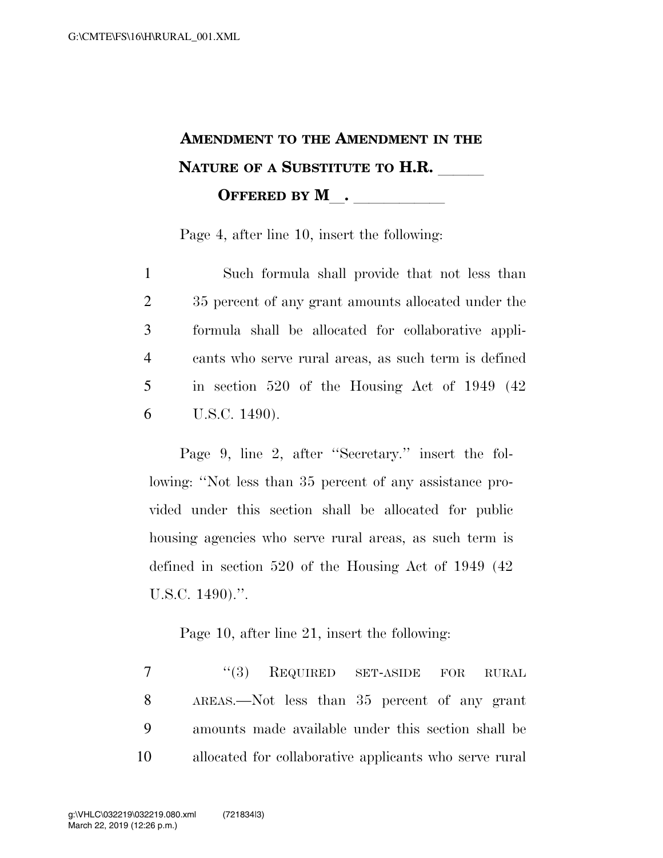## **AMENDMENT TO THE AMENDMENT IN THE NATURE OF A SUBSTITUTE TO H.R. OFFERED BY M**.

Page 4, after line 10, insert the following:

 Such formula shall provide that not less than 35 percent of any grant amounts allocated under the formula shall be allocated for collaborative appli- cants who serve rural areas, as such term is defined in section 520 of the Housing Act of 1949 (42 U.S.C. 1490).

Page 9, line 2, after ''Secretary.'' insert the following: ''Not less than 35 percent of any assistance provided under this section shall be allocated for public housing agencies who serve rural areas, as such term is defined in section 520 of the Housing Act of 1949 (42 U.S.C. 1490).''.

Page 10, after line 21, insert the following:

7 "(3) REQUIRED SET-ASIDE FOR RURAL AREAS.—Not less than 35 percent of any grant amounts made available under this section shall be allocated for collaborative applicants who serve rural